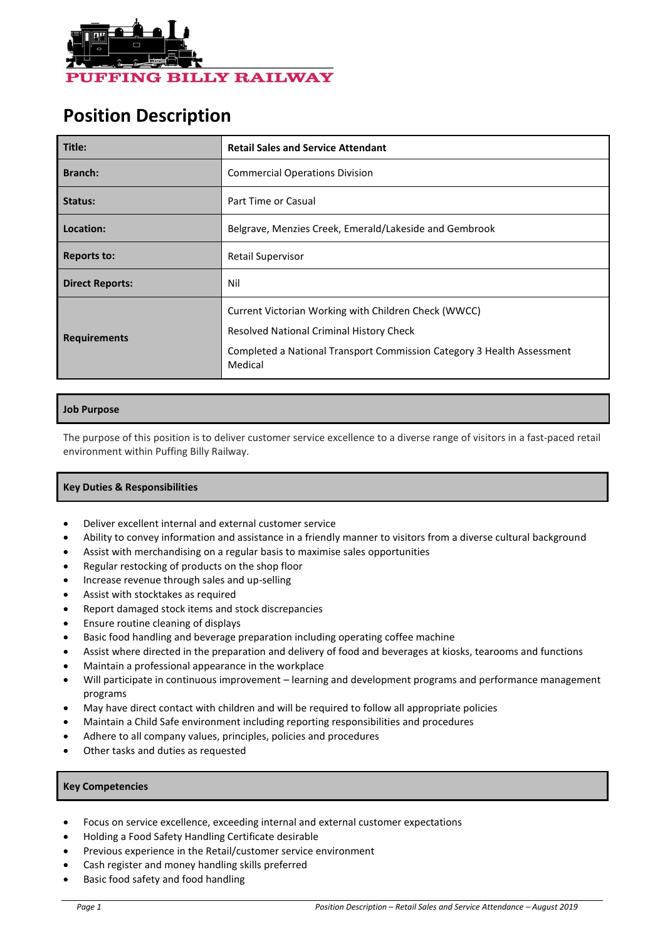

# **Position Description**

| Title:                 | <b>Retail Sales and Service Attendant</b>                                                                                                                                             |  |  |
|------------------------|---------------------------------------------------------------------------------------------------------------------------------------------------------------------------------------|--|--|
| Branch:                | <b>Commercial Operations Division</b>                                                                                                                                                 |  |  |
| Status:                | Part Time or Casual                                                                                                                                                                   |  |  |
| Location:              | Belgrave, Menzies Creek, Emerald/Lakeside and Gembrook                                                                                                                                |  |  |
| <b>Reports to:</b>     | <b>Retail Supervisor</b>                                                                                                                                                              |  |  |
| <b>Direct Reports:</b> | Nil                                                                                                                                                                                   |  |  |
| <b>Requirements</b>    | Current Victorian Working with Children Check (WWCC)<br>Resolved National Criminal History Check<br>Completed a National Transport Commission Category 3 Health Assessment<br>Medical |  |  |

## **Job Purpose**

The purpose of this position is to deliver customer service excellence to a diverse range of visitors in a fast-paced retail environment within Puffing Billy Railway.

# **Key Duties & Responsibilities**

- Deliver excellent internal and external customer service
- Ability to convey information and assistance in a friendly manner to visitors from a diverse cultural background
- Assist with merchandising on a regular basis to maximise sales opportunities
- Regular restocking of products on the shop floor
- Increase revenue through sales and up-selling
- Assist with stocktakes as required
- Report damaged stock items and stock discrepancies
- Ensure routine cleaning of displays
- Basic food handling and beverage preparation including operating coffee machine
- Assist where directed in the preparation and delivery of food and beverages at kiosks, tearooms and functions
- Maintain a professional appearance in the workplace
- Will participate in continuous improvement learning and development programs and performance management programs
- May have direct contact with children and will be required to follow all appropriate policies
- Maintain a Child Safe environment including reporting responsibilities and procedures
- Adhere to all company values, principles, policies and procedures
- Other tasks and duties as requested

### **Key Competencies**

- Focus on service excellence, exceeding internal and external customer expectations
- Holding a Food Safety Handling Certificate desirable
- Previous experience in the Retail/customer service environment
- Cash register and money handling skills preferred
- Basic food safety and food handling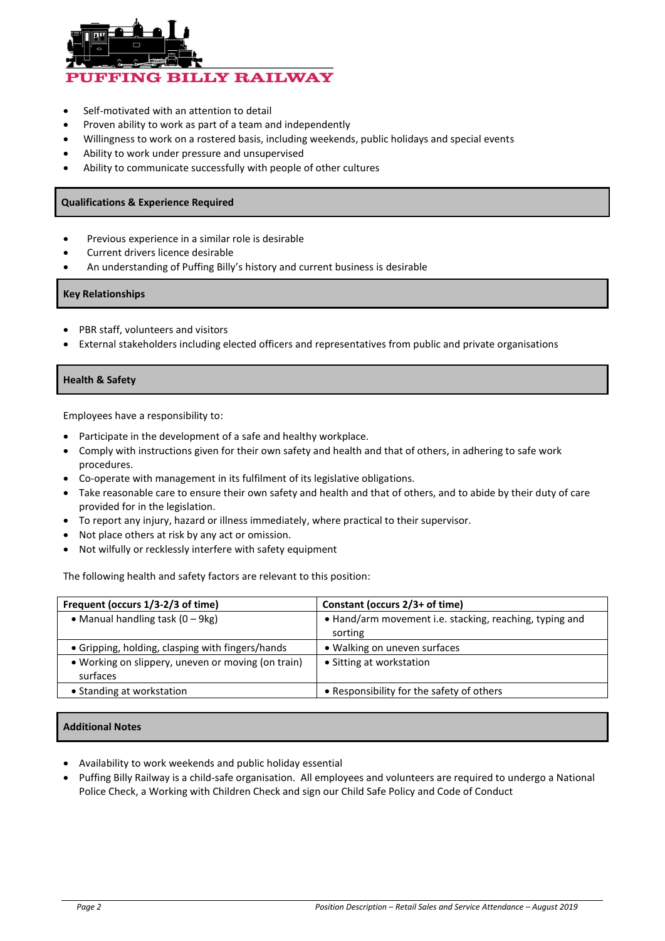

- Self-motivated with an attention to detail
- Proven ability to work as part of a team and independently
- Willingness to work on a rostered basis, including weekends, public holidays and special events
- Ability to work under pressure and unsupervised
- Ability to communicate successfully with people of other cultures

### **Qualifications & Experience Required**

- Previous experience in a similar role is desirable
- Current drivers licence desirable
- An understanding of Puffing Billy's history and current business is desirable

#### **Key Relationships**

- PBR staff, volunteers and visitors
- External stakeholders including elected officers and representatives from public and private organisations

#### **Health & Safety**

Employees have a responsibility to:

- Participate in the development of a safe and healthy workplace.
- Comply with instructions given for their own safety and health and that of others, in adhering to safe work procedures.
- Co-operate with management in its fulfilment of its legislative obligations.
- Take reasonable care to ensure their own safety and health and that of others, and to abide by their duty of care provided for in the legislation.
- To report any injury, hazard or illness immediately, where practical to their supervisor.
- Not place others at risk by any act or omission.
- Not wilfully or recklessly interfere with safety equipment

The following health and safety factors are relevant to this position:

| Frequent (occurs 1/3-2/3 of time)                              | Constant (occurs 2/3+ of time)                          |  |  |
|----------------------------------------------------------------|---------------------------------------------------------|--|--|
| • Manual handling task $(0 - 9kg)$                             | . Hand/arm movement i.e. stacking, reaching, typing and |  |  |
|                                                                | sorting                                                 |  |  |
| • Gripping, holding, clasping with fingers/hands               | • Walking on uneven surfaces                            |  |  |
| • Working on slippery, uneven or moving (on train)<br>surfaces | • Sitting at workstation                                |  |  |
| • Standing at workstation                                      | • Responsibility for the safety of others               |  |  |

## **Additional Notes**

- Availability to work weekends and public holiday essential
- Puffing Billy Railway is a child-safe organisation. All employees and volunteers are required to undergo a National Police Check, a Working with Children Check and sign our Child Safe Policy and Code of Conduct